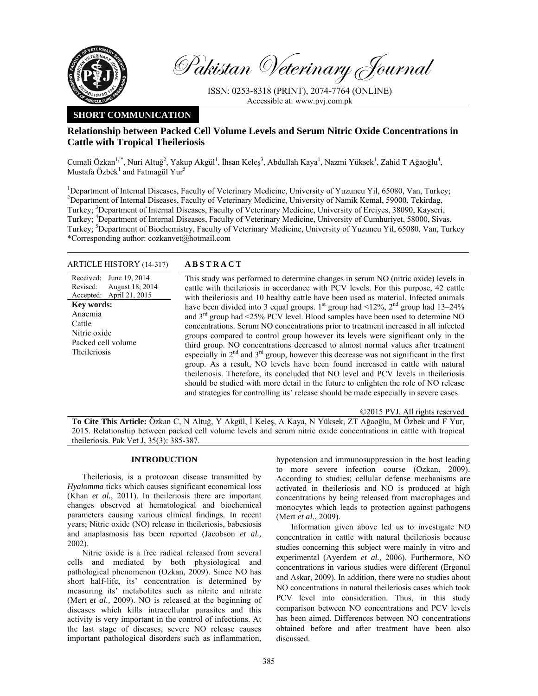

Pakistan Veterinary Journal

ISSN: 0253-8318 (PRINT), 2074-7764 (ONLINE) Accessible at: www.pvj.com.pk

# **SHORT COMMUNICATION**

# **Relationship between Packed Cell Volume Levels and Serum Nitric Oxide Concentrations in Cattle with Tropical Theileriosis**

Cumali Özkan<sup>1, \*</sup>, Nuri Altuğ<sup>2</sup>, Yakup Akgül<sup>1</sup>, İhsan Keleş<sup>3</sup>, Abdullah Kaya<sup>1</sup>, Nazmi Yüksek<sup>1</sup>, Zahid T Ağaoğlu<sup>4</sup>, Mustafa Özbek<sup>1</sup> and Fatmagül Yur<sup>5</sup>

<sup>1</sup>Department of Internal Diseases, Faculty of Veterinary Medicine, University of Yuzuncu Yil, 65080, Van, Turkey; <sup>2</sup>Department of Internal Diseases, Faculty of Veterinary Medicine, University of Namik Kemal, 59000, Tekirdag, Turkey; <sup>3</sup>Department of Internal Diseases, Faculty of Veterinary Medicine, University of Erciyes, 38090, Kayseri, Turkey; <sup>4</sup>Department of Internal Diseases, Faculty of Veterinary Medicine, University of Cumhuriyet, 58000, Sivas, Turkey; <sup>5</sup>Department of Biochemistry, Faculty of Veterinary Medicine, University of Yuzuncu Yil, 65080, Van, Turkey \*Corresponding author: cozkanvet@hotmail.com

## ARTICLE HISTORY (14-317) **ABSTRACT**

Received: Revised: Accepted: June 19, 2014 August 18, 2014 April 21, 2015 **Key words:**  Anaemia Cattle Nitric oxide Packed cell volume Theileriosis

 This study was performed to determine changes in serum NO (nitric oxide) levels in cattle with theileriosis in accordance with PCV levels. For this purpose, 42 cattle with theileriosis and 10 healthy cattle have been used as material. Infected animals have been divided into 3 equal groups.  $1<sup>st</sup>$  group had  $\leq 12\%$ ,  $2<sup>nd</sup>$  group had  $13-24\%$ and  $3<sup>rd</sup>$  group had <25% PCV level. Blood samples have been used to determine NO concentrations. Serum NO concentrations prior to treatment increased in all infected groups compared to control group however its levels were significant only in the third group. NO concentrations decreased to almost normal values after treatment especially in  $2<sup>nd</sup>$  and  $3<sup>rd</sup>$  group, however this decrease was not significant in the first group. As a result, NO levels have been found increased in cattle with natural theileriosis. Therefore, its concluded that NO level and PCV levels in theileriosis should be studied with more detail in the future to enlighten the role of NO release and strategies for controlling its' release should be made especially in severe cases.

©2015 PVJ. All rights reserved

**To Cite This Article:** Özkan C, N Altuğ, Y Akgül, İ Keleş, A Kaya, N Yüksek, ZT Ağaoğlu, M Özbek and F Yur, 2015. Relationship between packed cell volume levels and serum nitric oxide concentrations in cattle with tropical theileriosis. Pak Vet J, 35(3): 385-387.

## **INTRODUCTION**

Theileriosis, is a protozoan disease transmitted by *Hyalomma* ticks which causes significant economical loss (Khan *et al.,* 2011). In theileriosis there are important changes observed at hematological and biochemical parameters causing various clinical findings. In recent years; Nitric oxide (NO) release in theileriosis, babesiosis and anaplasmosis has been reported (Jacobson *et al.,* 2002).

Nitric oxide is a free radical released from several cells and mediated by both physiological and pathological phenomenon (Ozkan, 2009). Since NO has short half-life, its' concentration is determined by measuring its' metabolites such as nitrite and nitrate (Mert *et al.,* 2009). NO is released at the beginning of diseases which kills intracellular parasites and this activity is very important in the control of infections. At the last stage of diseases, severe NO release causes important pathological disorders such as inflammation,

hypotension and immunosuppression in the host leading to more severe infection course (Ozkan, 2009). According to studies; cellular defense mechanisms are activated in theileriosis and NO is produced at high concentrations by being released from macrophages and monocytes which leads to protection against pathogens (Mert *et al.*, 2009).

Information given above led us to investigate NO concentration in cattle with natural theileriosis because studies concerning this subject were mainly in vitro and experimental (Ayerdem *et al.,* 2006). Furthermore, NO concentrations in various studies were different (Ergonul and Askar, 2009). In addition, there were no studies about NO concentrations in natural theileriosis cases which took PCV level into consideration. Thus, in this study comparison between NO concentrations and PCV levels has been aimed. Differences between NO concentrations obtained before and after treatment have been also discussed.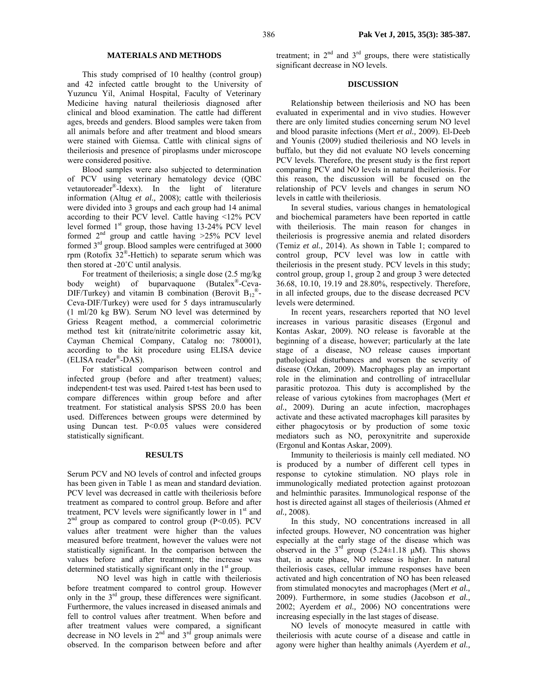## **MATERIALS AND METHODS**

This study comprised of 10 healthy (control group) and 42 infected cattle brought to the University of Yuzuncu Yil, Animal Hospital, Faculty of Veterinary Medicine having natural theileriosis diagnosed after clinical and blood examination. The cattle had different ages, breeds and genders. Blood samples were taken from all animals before and after treatment and blood smears were stained with Giemsa. Cattle with clinical signs of theileriosis and presence of piroplasms under microscope were considered positive.

Blood samples were also subjected to determination of PCV using veterinary hematology device (QBC vetautoreader®-Idexx). In the light of literature information (Altug *et al.,* 2008); cattle with theileriosis were divided into 3 groups and each group had 14 animal according to their PCV level. Cattle having <12% PCV level formed 1st group, those having 13-24% PCV level formed  $2<sup>nd</sup>$  group and cattle having  $>25%$  PCV level formed 3rd group. Blood samples were centrifuged at 3000 rpm (Rotofix  $32^{\circ}$ -Hettich) to separate serum which was then stored at -20˚C until analysis.

For treatment of theileriosis; a single dose (2.5 mg/kg body weight) of buparvaquone (Butalex®-Ceva-DIF/Turkey) and vitamin B combination (Berovit  $B_{12}^{\circ}$ . Ceva-DIF/Turkey) were used for 5 days intramuscularly (1 ml/20 kg BW). Serum NO level was determined by Griess Reagent method, a commercial colorimetric method test kit (nitrate/nitrite colorimetric assay kit, Cayman Chemical Company, Catalog no: 780001), according to the kit procedure using ELISA device (ELISA reader®-DAS).

For statistical comparison between control and infected group (before and after treatment) values; independent-t test was used. Paired t-test has been used to compare differences within group before and after treatment. For statistical analysis SPSS 20.0 has been used. Differences between groups were determined by using Duncan test. P<0.05 values were considered statistically significant.

#### **RESULTS**

Serum PCV and NO levels of control and infected groups has been given in Table 1 as mean and standard deviation. PCV level was decreased in cattle with theileriosis before treatment as compared to control group. Before and after treatment, PCV levels were significantly lower in 1<sup>st</sup> and  $2<sup>nd</sup>$  group as compared to control group (P<0.05). PCV values after treatment were higher than the values measured before treatment, however the values were not statistically significant. In the comparison between the values before and after treatment; the increase was determined statistically significant only in the  $1<sup>st</sup>$  group.

 NO level was high in cattle with theileriosis before treatment compared to control group. However only in the 3rd group, these differences were significant. Furthermore, the values increased in diseased animals and fell to control values after treatment. When before and after treatment values were compared, a significant decrease in NO levels in  $2<sup>nd</sup>$  and  $3<sup>rd</sup>$  group animals were observed. In the comparison between before and after

treatment; in  $2<sup>nd</sup>$  and  $3<sup>rd</sup>$  groups, there were statistically significant decrease in NO levels.

### **DISCUSSION**

Relationship between theileriosis and NO has been evaluated in experimental and in vivo studies. However there are only limited studies concerning serum NO level and blood parasite infections (Mert *et al.,* 2009). El-Deeb and Younis (2009) studied theileriosis and NO levels in buffalo, but they did not evaluate NO levels concerning PCV levels. Therefore, the present study is the first report comparing PCV and NO levels in natural theileriosis. For this reason, the discussion will be focused on the relationship of PCV levels and changes in serum NO levels in cattle with theileriosis.

In several studies, various changes in hematological and biochemical parameters have been reported in cattle with theileriosis. The main reason for changes in theileriosis is progressive anemia and related disorders (Temiz *et al.,* 2014). As shown in Table 1; compared to control group, PCV level was low in cattle with theileriosis in the present study. PCV levels in this study; control group, group 1, group 2 and group 3 were detected 36.68, 10.10, 19.19 and 28.80%, respectively. Therefore, in all infected groups, due to the disease decreased PCV levels were determined.

In recent years, researchers reported that NO level increases in various parasitic diseases (Ergonul and Kontas Askar, 2009). NO release is favorable at the beginning of a disease, however; particularly at the late stage of a disease, NO release causes important pathological disturbances and worsen the severity of disease (Ozkan, 2009). Macrophages play an important role in the elimination and controlling of intracellular parasitic protozoa. This duty is accomplished by the release of various cytokines from macrophages (Mert *et al.,* 2009). During an acute infection, macrophages activate and these activated macrophages kill parasites by either phagocytosis or by production of some toxic mediators such as NO, peroxynitrite and superoxide (Ergonul and Kontas Askar, 2009).

Immunity to theileriosis is mainly cell mediated. NO is produced by a number of different cell types in response to cytokine stimulation. NO plays role in immunologically mediated protection against protozoan and helminthic parasites. Immunological response of the host is directed against all stages of theileriosis (Ahmed *et al.,* 2008).

In this study, NO concentrations increased in all infected groups. However, NO concentration was higher especially at the early stage of the disease which was observed in the  $3^{rd}$  group (5.24 $\pm$ 1.18  $\mu$ M). This shows that, in acute phase, NO release is higher. In natural theileriosis cases, cellular immune responses have been activated and high concentration of NO has been released from stimulated monocytes and macrophages (Mert *et al.,* 2009). Furthermore, in some studies (Jacobson *et al.,* 2002; Ayerdem *et al.,* 2006) NO concentrations were increasing especially in the last stages of disease.

NO levels of monocyte measured in cattle with theileriosis with acute course of a disease and cattle in agony were higher than healthy animals (Ayerdem *et al.,*